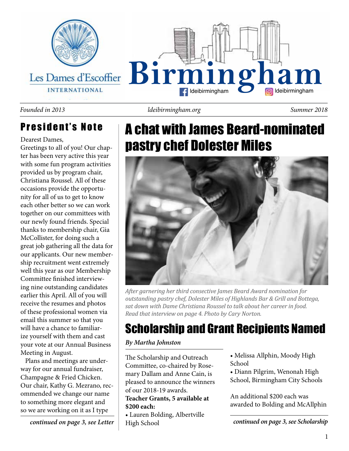

### President's Note

Dearest Dames,

Greetings to all of you! Our chapter has been very active this year with some fun program activities provided us by program chair, Christiana Roussel. All of these occasions provide the opportunity for all of us to get to know each other better so we can work together on our committees with our newly found friends. Special thanks to membership chair, Gia McCollister, for doing such a great job gathering all the data for our applicants. Our new membership recruitment went extremely well this year as our Membership Committee finished interviewing nine outstanding candidates earlier this April. All of you will receive the resumes and photos of these professional women via email this summer so that you will have a chance to familiarize yourself with them and cast your vote at our Annual Business Meeting in August.

 Plans and meetings are underway for our annual fundraiser, Champagne & Fried Chicken. Our chair, Kathy G. Mezrano, recommended we change our name to something more elegant and so we are working on it as I type

*continued on page 3, see Letter*

*ldeibirmingham.org Founded in 2013 Summer 2018*

### A chat with James Beard-nominated pastry chef Dolester Miles



*After garnering her third consective James Beard Award nomination for outstanding pastry chef, Dolester Miles of Highlands Bar & Grill and Bottega, sat down with Dame Christiana Roussel to talk about her career in food. Read that interview on page 4. Photo by Cary Norton.*

### Scholarship and Grant Recipients Named

### *By Martha Johnston*

The Scholarship and Outreach Committee, co-chaired by Rosemary Dallam and Anne Cain, is pleased to announce the winners of our 2018-19 awards. **Teacher Grants, 5 available at** 

### **\$200 each:**

• Lauren Bolding, Albertville High School

• Melissa Allphin, Moody High School

• Diann Pilgrim, Wenonah High School, Birmingham City Schools

An additional \$200 each was awarded to Bolding and McAllphin

*continued on page 3, see Scholarship*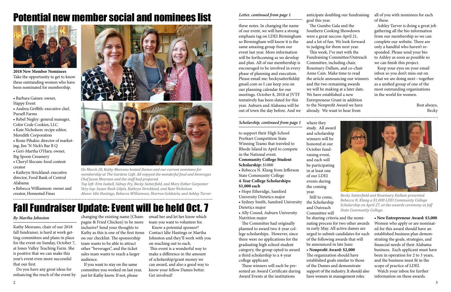2 3

these notes. In changing the name of our event, we will have a strong emphasis tag on LDEI Birmingham so Birmingham will know it is the same amazing group from our event last year. More information will be forthcoming as we develop and plan. All of our membership is encouraged to be involved in every phase of planning and execution. Please email me: beckysatterfield@ gmail.com so I can keep you on our planning calendar for our meetings. October 8, 2018 at JVTF tentatively has been slated for this year. Auburn and Alabama will be out of town the day before. And we

### *Letter, continued from page 1* anticipate doubling our fundraising

goal this year.

 The Gumbo Gala and the Southern Cooking Showdown were a great success April 21, and a lot of fun. We look forward to judging for them next year. This week, I've met with the Fundraising Committee/Outreach Committee, including chair, Rosemary Dallam, and co-chair Anne Cain. Make time to read the article announcing our winners and the two remaining awards we will be making at a later date. We have established a new Entrepreneur Grant in addition to the Nonprofit Award we have already. We want to hear from

all of you with nominees for each of these.

 Ashley Tarver is doing a great job gathering all the bio information from our membership so we can complete our website. There are only a handful who haven't responded. Please send your bio to Ashley as soon as possible so we can finish this project.

 Keep your eyes on your email inbox so you don't miss out on what we are doing next—together as a unified group of one of the most outstanding organizations in the world for women.

> Best always, Becky

to support their High School ProStart Competition State Winning Teams that traveled to Rhode Island in April to compete in the National event. **Community College Student Scholarship:** \$1000 • Rebecca N. Klang from Jefferson State Community College **4-Year College Scholarships:** 

#### **\$1,000 each**

• Hope Etheridge, Samford University Dietetics major

• Sydney Smith, Samford University Dietetics major

• Ally Cound, Auburn University Nutrition major

 The Committee had originally planned to award two 4-year college scholarships. However, since there were no applications for the graduating high school student category, the group opted to award a third scholarship to a 4-year college applicant.

 These winners will each be presented an Award Certificate during Award Events at the institutions

where they study. All award and scholarship winners will be honored at our October fundraising event, and each will

be participating in at least one of our LDEI events during the coming year.

 Still to come, the Scholarship and Outreach Committee will

**• New Entrepreneur Award: \$3,000** Women who apply or are nominated for this award should have an established business plan demonstrating the goals, strategies, and financial needs of their Alabama business. Each applicant must have been in operation for 2 to 3 years, and the business must fit in the scope of practice of LDEI.

 Watch your inbox for further information on these awards.



*Becky Satterfield and Rosemary Dallam presented Rebecca N. Klang a \$1,000 LDEI Community College Scholarship on April 27, at the awards ceremony at Jeff State Community College.*

be sharing criteria and the nominating process for two other awards in early May. All active dames are urged to submit candidates for each of the following awards that will be announced in late June: • **Nonprofit Award: \$2,000** The organization should have established goals similar to those of the Dames and demonstrate support of the industry. It should also have women in management roles.



**2018 New Member Nominees** Take the opportunity to get to know these outstanding women who have been nominated for membership.

- Barbara Gaines: owner,
- Happy Event
- Andrea Griffith: executive chef,
- Pursell Farms
- Rebel Negley: general manager, Color Code Cookies, LLC
- Kate Nicholson: recipe editor, Meredith Corporation
- Rosie Pihakis: director of marketing, Jim 'N Nick's Bar B Q
- Geri-Martha O'Hara: owner, Big Spoon Creamery
- Cheryl Slocum: food content creator
- Kathryn Strickland: executive director, Food Bank of Central Alabama
- Rebecca Williamson: owner and creator, Homested Fines





### Potential new member social and nominees list

Kathy Mezrano, chair of our 2018 fall fundraiser, is hard at work getting committees and plans in place for the event on Sunday, October 7, at Jones Valley Teaching Farm. She is positive that we can make this year's event even more successful that our first.

 Do you have any great ideas for enhancing the reach of the event by pagne & Fried Chicken] to be more inclusive? Send your thoughts to Kathy as this is one of the first items on our checklist. The sponsorship team wants to be able to attract other "beverages", and the ticket sales team wants to reach a larger audience.

changing the existing name [Cham-email her and let her know which team you want to volunteer for.

 If you want to stay on the same committee you worked on last year, just let Kathy know. If not, please

 Know a potential sponsor? Contact Idie Hastings or Martha Johnston and they'll work with you on reaching out to each. This event is a wonderful way to make a difference in the amount

of scholarship/grant money we can award, and also a good way to know your fellow Dames better. Get involved!

# Fall Fundraiser Update: Event will be held Oct. 7

### *By Martha Johnston*

*On March 28, Kathy Mezrano hosted Dames and our current nominees for membership at The Gardens Café. All enjoyed the wonderful food and beverages Chef Jason Mezrano and the staff had prepared.* 

*Top left: Erin Isabell, Sidney Fry, Becky Satterfield, and Mary Esther Carpenter Very top: Susan Nash Gilpin, Kathryn Strickland, and Kate Nicholson Above: Idie Hastings, Rebecca Williamson, Sherron Goldstein, and Ashley Tarver*

#### *Scholarship, continued from page 1*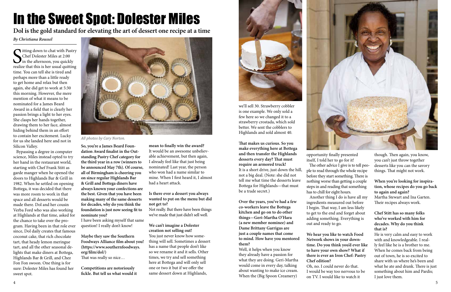

# In the Sweet Spot: Dolester Miles

### *By Christiana Roussel*

S<sub>realiz</sub> itting down to chat with Pastry Chef Dolester Miles at 2:00 in the afternoon, you quickly realize that this is her usual quitting time. You can tell she is tired and perhaps more than a little ready to get home and relax but then again, she did get to work at 5:30 this morning. However, the mere mention of what it means to be nominated for a James Beard Award in a field that is clearly her passion brings a light to her eyes. She clasps her hands together, drawing them to her face, almost hiding behind them in an effort to contain her excitement. Lucky for us she landed here and not in Silicon Valley.

 Bypassing a degree in computer science, Miles instead opted to try her hand in the restaurant world, starting with Chef Frank Stitt as garde manger when he opened the doors to Highlands Bar & Grill in 1982. When he settled on opening Bottega, it was decided that there was more room to work in that space and all desserts would be made there. Dol and her cousin Verba Ford who was also working at Highlands at that time, asked for the chance to take over the program. Having been in that role ever since, Dol daily creates that famous coconut cake, that rich chocolate tart, that heady lemon meringue tart, and all the other seasonal delights that make diners at Bottega, Highlands Bar & Grill, and Chez Fon Fon swoon. One thing is for sure: Dolester Miles has found her sweet spot.



*All photos by Cary Norton.*

**So, you're a James Beard Foundation Award finalist in the Outstanding Pastry Chef category for the third year in a row (winners to be announced May 7th). Of course, all of Birmingham is cheering you on since regular Highlands Bar & Grill and Bottega diners have always known your confections are the best. Given that you have been making many of the same desserts for decades, why do you think the foundation is just now seeing fit to nominate you?**

I have been asking myself that same question! I really don't know!

**Maybe they saw the Southern Foodways Alliance film about you! (https://www.southernfoodways. org/film/dol/)** That was really so nice…

**Competitions are notoriously fickle. But tell us what would it** 

**mean to finally win the award?** It would be an awesome unbelievable achievement, but then again, I already feel like that just being nominated! Last year, the person who won had a name similar to mine. When I first heard it, I almost had a heart attack.

#### **Is there ever a dessert you always wanted to put on the menu but did not get to?**

Not really. But there have been things we've made that just didn't sell well.

**We can't imagine a Dolester creation not selling out!** You just never know how something will sell. Sometimes a dessert has a name that people don't like so we rename it and it sells. Other times, we try and sell something here at Bottega and will only sell one or two it but if we offer the same dessert down at Highlands,



**Dol is the gold standard for elevating the art of dessert one recipe at a time**

we'll sell 30. Strawberry cobbler is one example. We only sold a few here so we changed it to a strawberry crostada, which sold better. We sent the cobblers to Highlands and sold almost 40.

**That makes us curious. So you make everything here at Bottega and then transfer the Highlands desserts every day? That must require an armored truck!** It is a short drive, just down the hill, not a big deal. (Note: she did not tell me what time the desserts leave Bottega for Highlands—that must be a trade secret.)

**Over the years, you've had a few co-workers leave the Bottega kitchen and go on to do other things—Geri-Martha O'Hara (a new member nominee) and Dame Brittany Garrigus are just a couple names that come to mind. How have you mentored them?**

Well, it helps when you know they already have a passion for what they are doing. Geri-Martha would come in every day, talking about wanting to make ice cream. When the (Big Spoon Creamery)

opportunity finally presented itself, I told her to go for it! The other advice I give is to tell people to read through the whole recipe before they start something. There is nothing worse than getting a couple steps in and reading that something has to chill for eight hours.

 Another thing I do is have all my ingredients measured out before I begin. That way, I am less likely to get to the end and forget about adding something. Everything is out and ready to go.

**We hear you like to watch Food Network shows in your downtime. Do you think you'd ever like to have your own show? What if there is ever an Iron Chef: Pastry Chef edition?** Oh, no. I could never do that. I would be way too nervous to be on TV. I would like to watch it

though. Then again, you know, you can't just throw together desserts like you can the savory things. That might not work.

**When you're looking for inspiration, whose recipes do you go back to again and again?** Martha Stewart and Ina Garten. Their recipes always work.

#### **Chef Stitt has so many folks who've worked with him for decades. Why do you think that is?**

He is very calm and easy to work with and knowledgeable. I really feel like he is a brother to me. When he comes back from being out of town, he is so excited to share with us where he's been and what he ate and drank. There is just something about him and Pardis; I just love them.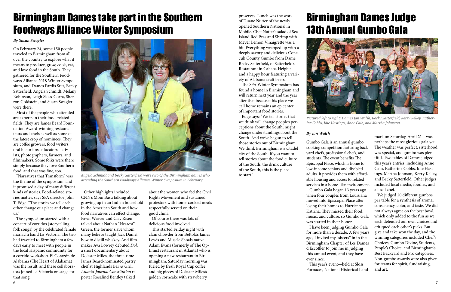### Birmingham Dames take part in the Southern Foodways Alliance Winter Symposium

On February 24, some 150 people traveled to Birmingham from all over the country to explore what it means to produce, grow, cook, eat, and love food in the South. They gathered for the Southern Foodways Alliance 2018 Winter Symposium, and Dames Pardis Stitt, Becky Satterfield, Angela Schmidt, Melany Robinson, Leigh Sloss-Corra, Sherron Goldstein, and Susan Swagler were there.

 Most of the people who attended are experts in their food-related fields. They are James Beard Foundation Award-winning restaurateurs and chefs as well as some of the latest crop of nominees. They are coffee growers, food writers, oral historians, educators, activists, photographers, farmers, and filmmakers. Some folks were there simply because they love Southern food, and that was fine, too.

 "Narratives that Transform" was the theme of the symposium, and it promised a day of many different kinds of stories. Food-related stories matter, says SFA director John T. Edge. "The stories we tell each other change our place and change us."

 The symposium started with a concert of corridos (storytelling folk songs) by the celebrated female mariachi band La Victoria. The trio had traveled to Birmingham a few days early to meet with people in the local Hispanic community for a corrido workshop. El Corazón de Alabama (The Heart of Alabama) was the result, and these collaborators joined La Victoria on stage for that song.

 Other highlights included CNN's Moni Basu talking about growing up in an Indian household in the American South and how food narratives can effect change. Fawn Weaver and Clay Risen talked about Nathan "Nearest" Green, the former slave whom many believe taught Jack Daniel how to distill whiskey. And filmmaker Ava Lowrey debuted *Dol*, a short documentary about Dolester Miles, the three-time James Beard-nominated pastry chef at Highlands Bar & Grill. *Atlanta-Journal Constitution* reporter Rosalind Bentley talked

about the women who fed the Civil Rights Movement and sustained protestors with home-cooked meals respectfully served on their good china.

 Of course there was lots of delicious food involved.

 This started Friday night with clam chowder from Bettola's James Lewis and Muscle Shoals native Adam Evans (formerly of The Optimist restaurant in Atlanta) who is opening a new restaurant in Birmingham. Saturday morning was fueled by fresh Royal Cup coffee and big pieces of Dolester Miles's golden corncake with strawberry

*By Susan Swagler*

### Birmingham Dames Judge 13th Annual Gumbo Gala





Angela Schmidt and Becky Satterfield were two of the Birmingham dames who **to start.**" *attending the Southern Foodways Alliance Winter Symposium in February.*

Gumbo Gala is an annual gumbo cooking competition featuring backyard chefs, professional chefs, and students. The event benefits The Episcopal Place, which is home to low-income seniors and disabled adults. It provides them with affordable housing and access to related services in a home-like environment. Gumbo Gala began 13 years ago when four couples from Louisiana moved into Episcopal Place after losing their homes to Hurricane Katrina. They missed their food, music, and culture, so Gumbo Gala was started in their honor. I have been judging Gumbo Gala for more than a decade. A few years ago, I invited my "sisters" in in the Birmingham Chapter of Les Dames d'Escoffier to join me in judging this annual event, and they have

ever since.

 This year's event—held at Sloss Furnaces, National Historical Land-

*By Jan Walsh* mark on Saturday, April 21—was perhaps the most glorious gala yet. The weather was perfect, sisterhood was special, and gumbo was plentiful. Two tables of Dames judged this year's entries, including Anne Cain, Katherine Cobbs, Idie Hastings, Martha Johnson, Kerry Kelley, and Becky Satterfield. Other judges included local media, foodies, and a local chef.

> We judged 20 different gumbos per table for a synthesis of aroma, consistency, color, and taste. We did not always agree on the best bowl, which only added to the fun as we each defended our own choices and critiqued each other's picks. But give and take won the day, and the winning categories included Chef 's Choices, Gumbo Divine, Students, People's Choice, and Birmingham's Best Backyard and Pro categories. Non-gumbo awards were also given for teams for spirit, fundraising, and art.

*Pictured left to right: Dames Jan Walsh, Becky Satterfield, Kerry Kelley, Katherine Cobbs, Idie Hastings, Anne Cain, and Martha Johnston.*

preserves. Lunch was the work of Duane Nutter of the newly opened Southern National in Mobile. Chef Nutter's salad of Sea Island Red Peas and Shrimp with Meyer Lemon Vinaigrette was a hit. Everything wrapped up with a deeply savory and delicious Conecuh County Gumbo from Dame Becky Satterfield, of Satterfield's Restaurant in Cahaba Heights, and a happy hour featuring a variety of Alabama craft beers.

 The SFA Winter Symposium has found a home in Birmingham and will return next year and the year after that because this place we call home remains an epicenter of important food stories.

 Edge says: "We tell stories that we think will change people's perceptions about the South, might change understandings about the South. And we've begun to tell those stories out of Birmingham. We think Birmingham is a citadel city of the South. If you want to tell stories about the food culture of the South, the drink culture of the South, this is the place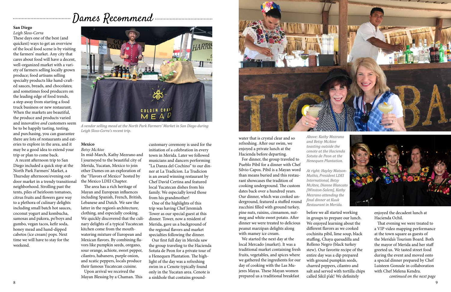water that is crystal clear and so refreshing. After our swim, we enjoyed a private lunch at the Hacienda before departing.

 For dinner, the group traveled to Pueblo Pibil for a dinner with Chef Silvio Capos. Pibil is a Mayan word than means buried and this restaurant showcases the tradition of cooking underground. The custom dates back over a hundred years. Our dinner, which was cooked underground, featured a stuffed round zucchini filled with ground turkey, pine nuts, raisins, cinnamon, nutmeg and white sweet potato. After dinner we were treated to delicious peanut marzipan delights along with mamey ice cream.

8 a set of the set of the set of the set of the set of the set of the set of the set of the set of the set of the set of the set of the set of the set of the set of the set of the set of the set of the set of the set of th before we all started working in groups to prepare our lunch. We enjoyed learning about the different flavors as we cooked cochinita pibil, lime soup, black stuffing, Chaya quesadilla and Relleno Negro (black turkey stew). Our favorite recipe of the entire day was a dip prepared with ground pumpkin seeds, charred peppers, cilantro and salt and served with tortilla chips called Sikil p'ak! We definitely



 We started the next day at the local Mercado (market). It was a traditional market containing fresh fruits, vegetables, and spices where we gathered the ingredients for our day of cooking with the Las Mujeres Mayas. These Mayan women prepared us a traditional breakfast

*Above: Kathy Mezrano and Betsy McAtee toasting outside the cenote at the Hacienda Sotuta de Peon at the Henequen Plantation.* 

*At right: Hayley Matson-Mathis, President LDEI International, Betsy McAtee, Dianne Blancato [Winston-Salem], Kathy Mezrano attending the final dinner at Kuuk Restaurant in Merida.*

> enjoyed the decadent lunch at Hacienda Ochil.

 That evening we were treated to a VIP video mapping performance at the town square as guests of the Merida's Tourism Board. Both the mayor of Merida and her staff greeted us. We tasted street food during the event and moved onto a special dinner prepared by Chef Luisteen Gonzale in collaboration with Chef Melena Kendra.

*continued on the next page*

# Index Recommend

#### **San Diego**

*Leigh Sloss-Corra* These days one of the best (and quickest) ways to get an overview of the local food scene is by visiting the farmers' market. Any city that cares about food will have a decent, well-organized market with a variety of farmers selling locally grown produce; food artisans selling specialty products like hand-crafted sauces, breads, and chocolates; and sometimes food producers on the leading edge of food trends, a step away from starting a food truck business or new restaurant. When the markets are beautiful, the produce and products varied and innovative *and* customers seem be to be happily tasting, testing, and purchasing, you can guarantee there are lots of restaurants and eateries to explore in the area, and it may be a good idea to extend your trip or plan to come back.

 A recent afternoon trip to San Diego included a quick stop at the North Park Farmers' Market, a Thursday afternoon/evening outdoor market in a trendy transitional the Mexico LDEI Chapter. neighborhood. Strolling past the tents, piles of heirloom tomatoes, citrus fruits and flowers gave way to a plethora of culinary delights including small batch hot sauces, coconut yogurt and kombucha, samosas and pakora, po'boys and gumbo, vegan tacos, kefir soda, honey mead and hand-dipped cabetos (ice cream) pops. Next time we will have to stay for the weekend.

#### **Mexico**

#### *Betsy McAtee*

In mid-March, Kathy Mezrano and I journeyed to the beautiful city of Merida, Yucatan, Mexico to join other Dames on an exploration of the "Flavors of Mexico" hosted by

 The area has a rich heritage of Mayan and European influences including Spanish, French, British, Lebanese and Dutch. We saw the latter in the region's architecture, clothing, and especially cooking. We quickly discovered that the culinary delights of a typical Yucatecan kitchen come from the mouthwatering mixture of European and Mexican flavors. By combining flavors like pumpkin seeds, oregano, sour orange, achiote, sweet pepper, cilantro, habanero, purple onion, and xcatic peppers, locals produce their famous Yucatecan cuisine.

 Upon arrival we received the Mayan Blessing by a Chaman. This

customary ceremony is used for the initiation of a celebration in every town in Merida. Later we followed musicians and dancers performing "La Danza del Cochino" to our dinner at La Tradicion. La Tradicion is an award winning restaurant by Chef David Certina and featured local Yucatecan dishes from his family. We especially loved those from his grandmother!

 One of the highlights of this trip was having Chef Jeremiah Tower as our special guest at this dinner. Tower, now a resident of Merida, gave us a background of the regional flavors and market specialties following the dinner.

 Our first full day in Merida saw the group traveling to the Hacienda Sotuta de Peon for a private tour of a Henequen Plantation. The highlight of the day was a refreshing swim in a Cenote typically found only in the Yucatan area. Cenote is a sinkhole that contains ground-





*A vendor selling mead at the North Park Farmers' Market in San Diego during Leigh Sloss-Corra's recent trip.*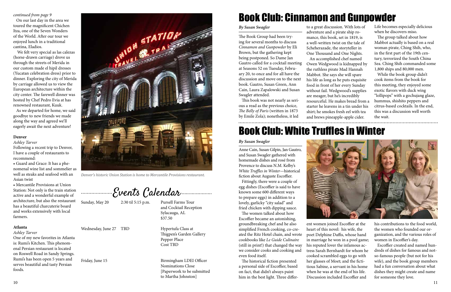

*Denver's historic Union Station is home to Mercantile Provisions restaurant.*

Events Calendar

Wednesday, June 27 TBD Hypertufa Class at

Sunday, May 20 2:30 til 5:15 p.m. Pursell Farms Tour and Cocktail Reception Sylacauga, AL \$37.50

Friday, June 15 Birmingham LDEI Officer Nominations Close [Paperwork to be submitted to Martha Johnston]

 Thigpen's Garden Gallery Pepper Place Cost TBD

#### *continued from page 9*

 On our last day in the area we toured the magnificent Chichen Itza, one of the Seven Wonders of the World. After our tour we enjoyed lunch in a traditional cantina, Eladios.

 We felt very special as las calezas (horse-drawn carriage) drove us through the streets of Merida in our custom made el hipil dresses (Yucatan celebration dress) prior to dinner. Exploring the city of Merida by carriage allowed us to view the European architecture within the city center. The farewell dinner was hosted by Chef Pedro Evia at has renowned restaurant, Kuuk.

 As we departed for home, we said goodbye to new friends we made along the way and agreed we'll eagerly await the next adventure!

#### **Denver**

*Ashley Tarver*

Following a recent trip to Denver, I have a couple of restaurants to recommend:

• Guard and Grace: It has a phenomenal wine list and sommelier as well as steaks and seafood with an Asian twist

• Mercantile Provisions at Union Station: Not only is the train station active and a wonderful example of architecture, but also the restaurant has a beautiful charcuterie board and works extensively with local farmers.

#### **Atlanta**

*Ashley Tarver* 

One of my new favorites in Atlanta is: Rumi's Kitchen. This phenomenal Persian restaurant is located on Roswell Road in Sandy Springs. Rumi's has been open 5 years and serves beautiful and tasty Persian foods.

The Book Group had been trying for several months to discuss *Cinnamon and Gunpowder* by Eli Brown, but the gathering kept being postponed. So Dame Jan Gautro called for a cocktail meeting at Seasons 52 on Tuesday, February 20, to once and for all have the discussion and move on to the next book. Gautro, Susan Green, Ann Cain, Laura Zapalowski and Susan Swagler attended.

 This book was not nearly as serious a read as the previous choice, *The Belly of Paris* (written in 1873 by Emile Zola); nonetheless, it led

# Book Club: Cinnamon and Gunpowder

*By Susan Swagler* to a great discussion. With lots of adventure and a pirate ship romance, this book, set in 1819, is a well-written twist on the tale of Scheherazade, the storyteller in One Thousand and One Nights. An accomplished chef named Owen Wedgwood is kidnapped by the ruthless pirate Mad Hannah Mabbot. She says she will spare his life as long as he puts exquisite food in front of her every Sunday without fail. Wedgwood's supplies are meager, but he's incredibly resourceful. He makes bread from a starter he leavens in a tin under his shirt; he smokes fresh eel with tea and brews pineapple-apple cider.

Life becomes especially delicious when he discovers miso.

 The group talked about how Mabbot actually is based on a real woman pirate, Ching Shih, who, in the first part of the 19th century, terrorized the South China Sea. Ching Shih commanded some 1,800 ships and 80,000 men.

 While the book group didn't cook items from the book for this meeting, they enjoyed some exotic flavors with duck wing "lollipops" with a gochujang glaze, hummus, shishito peppers and citrus-based cocktails. In the end, this was a discussion well worth the wait.

Anne Cain, Susan Gilpin, Jan Gautro, and Susan Swagler gathered with homemade dishes and rosé from Provence to discuss N.M. Kelby's *White Truffles in Winter*—historical fiction about Auguste Escoffier.

 Fittingly, there were a couple of egg dishes (Escoffier is said to have known some 600 different ways to prepare eggs) in addition to a lovely, garlicky "city salad" and fried chicken with dipping sauce.

 The women talked about how Escoffier became an astonishing, groundbreaking chef and he also simplified French cooking, co-created the Ritz Hotel chain, and wrote cookbooks like *Le Guide Culinaire* (still in print!) that changed the way we consider cooks and cooking and even food itself.

 The historical fiction presented a personal side of Escoffier, based on fact, that didn't always paint him in the best light. Three differ-



## Book Club: White Truffles in Winter

#### *By Susan Swagler*

ent women joined Escoffier at the heart of this novel: his wife, the poet Delphine Daffis, whose hand in marriage he won in a pool game; his reputed lover the infamous actress Sarah Bernhardt for whom he cooked scrambled eggs to go with her glasses of Moet; and the fictitious Sabine, a servant in his home when he was at the end of his life. Discussion included Escoffier and

his contributions to the food world, the women who founded our organization, and the various roles of women in Escoffier's day.

 Escoffier created and named hundreds of dishes for famous and notso-famous people (but not for his wife), and the book group members had a fun conversation about what dishes they might create and name for someone they love.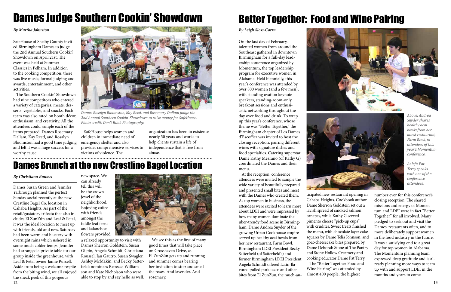# Dames Judge Southern Cookin' Showdown

*By Martha Johnston*

SafeHouse of Shelby County invited Birmingham Dames to judge the 2nd Annual Southern Cookin' Showdown on April 21st. The event was held at Summer Classics in Pelham. In addition to the cooking competition, there was live music, formal judging and awards, entertainment, and other activities.

worthy cause. victims of violence. The abuse. SafeHouse helps women and children in immediate need of provides comprehensive services to victims of violence. The

 The Southern Cookin' Showdown had nine competitors who entered a variety of categories: meats, desserts, vegetables, and snacks. Each team was also rated on booth décor, enthusiasm, and creativity. All the attendees could sample each of the items prepared. Dames Rosemary Dallam, Kay Reed, and Rosalyn Bloomston had a good time judging emergency shelter and also and felt it was a huge success for a

organization has been in existence nearly 30 years and works to help clients sustain a life of independence that is free from abuse.



*Dames Rosalyn Bloomston, Kay Reed, and Rosemary Dallam judge the 2nd Annual Southern Cookin' Showdown to raise money for SafeHouse. Photo credit: Don't Blink Photography.*

## Better Together: Food and Wine Pairing

#### *By Leigh Sloss-Corra*

On the last day of February, talented women from around the Southeast gathered in downtown Birmingham for a full-day leadership conference organized by Momentum, the top leadership program for executive women in Alabama. Held biennially, this year's conference was attended by over 800 women (and a few men), with standing ovation keynote speakers, standing-room-only breakout sessions and enthusiastic networking throughout the day over food and drink. To wrap up this year's conference, whose theme was "Better Together," the Birmingham chapter of Les Dames d'Escoffier was invited to host the closing reception, pairing different wines with signature dishes and food specialties. Catering superstar Dame Kathy Mezrano (of Kathy G) coordinated the Dames and their menu.

12 13 Dames Susan Green and Jennifer Yarbrough planned the perfect Sunday social recently at the new Crestline Bagel Co. location in Cahaba Heights. As part of the retail/gustatory trifecta that also includes El ZunZún and Leaf & Petal, it was the ideal location to meet up with friends, old and new. Saturday had been warm and blustery with overnight rains which ushered in some much colder temps. Jennifer had arranged a private table for our group inside the greenhouse, with Leaf & Petal owner Jamie Pursell. Aside from being a welcome respite from the biting wind, we all enjoyed the sneak peek of this gorgeous

 At the reception, conference attendees were invited to sample the wide variety of beautifully prepared and presented small bites and meet with the Dames who created them. As top women in business, the attendees were excited to learn more about LDEI and were impressed by how many women dominate the uber-trendy food scene in Birmingham. Dame Andrea Snyder of the growing Urban Cookhouse empire served up healthy acai bowls from her new restaurant, Farm Bowl. Birmingham LDEI President Becky Satterfield (of Satterfield's) and former Birmingham LDEI President Angela Schmidt offered Latin-flavored pulled pork tacos and other bites from El ZunZún, the much-an-



ticipated new restaurant opening in Cahaba Heights. Cookbook author Dame Sherron Goldstein set out a lavish spread of smoked salmon canapes, while Kathy G served pimento cheese "pick-up cups" with crudites. Sweet treats finished the menu, with chocolate layer cake squares by Dame Telia Johnson, and goat-cheesecake bites prepared by Dame Deborah Stone of The Pantry and Stone Hollow Creamery and cooking educator Dame Pat Terry. The "Better Together Food and Wine Pairing" was attended by almost 400 people, the highest



number ever for this conference's closing reception. The shared missions and energy of Momentum and LDEI were in fact "Better Together" for all involved. Many pledged to seek out and visit the Dames' restaurants often, and to more deliberately support women in the food industry in the future. It was a satisfying end to a great day for top women in Alabama. The Momentum planning team expressed deep gratitude and is already planning more ways to team up with and support LDEI in the months and years to come.

*Above: Andrea Snyder shares healthy acai bowls from her latest restaurant, Farm Bowl, to attendees of this year's Momentum conference.*

*At left: Pat Terry speaks with one of the conference attendees.*

### Dames Brunch at the new Crestline Bagel Location

*By Christiana Roussel*

a relaxed opportunity to visit with Dames Sherron Goldstein, Susan Gilpin, Angela Schmidt, Christiana Roussel, Jan Gautro, Susan Swagler, Ashley McMakin, and Becky Satterfield; nominees Rebecca Williamson and Kate Nicholson who were able to stop by and say hello as well.

 We see this as the first of many good times that will take place on Crosshaven Drive, as El ZunZún gets up and running and summer comes bearing her invitation to stop and smell the roses. And lavender. And rosemary.

new space. We can already tell this will be the crown jewel of the neighborhood. Enjoying coffee with friends amongst the fiddle leaf ferns and kalanchoe flowers provided